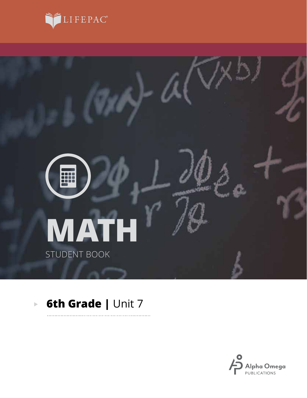



. . . . . . . . . . .

#### **6th Grade | Unit 7**  $\overline{\mathbb{P}}$

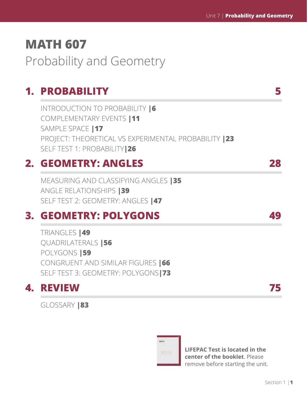# **MATH 607**

Probability and Geometry

# **1. PROBABILITY 5**

INTRODUCTION TO PROBABILITY **|6** COMPLEMENTARY EVENTS **|11** SAMPLE SPACE **|17** PROJECT: THEORETICAL VS EXPERIMENTAL PROBABILITY **|23** SELF TEST 1: PROBABILITY**|26**

# **2. GEOMETRY: ANGLES 28**

MEASURING AND CLASSIFYING ANGLES **|35** ANGLE RELATIONSHIPS **|39** SELF TEST 2: GEOMETRY: ANGLES **|47**

# **3. GEOMETRY: POLYGONS 49**

TRIANGLES **|49** QUADRILATERALS **|56** POLYGONS **|59** CONGRUENT AND SIMILAR FIGURES **|66** SELF TEST 3: GEOMETRY: POLYGONS**|73**

# **4. REVIEW 75**

GLOSSARY **|83**



**LIFEPAC Test is located in the center of the booklet**. Please remove before starting the unit.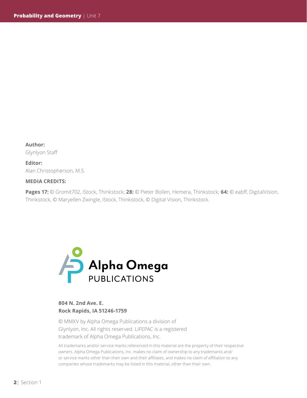**Author:**  Glynlyon Staff

**Editor:**  Alan Christopherson, M.S.

#### **MEDIA CREDITS:**

**Pages 17:** © Gromit702, iStock, Thinkstock; **28:** © Pieter Bollen, Hemera, Thinkstock; **64:** © eabff, DigitalVision, Thinkstock, © Maryellen Zwingle, iStock, Thinkstock, © Digital Vision, Thinkstock.



#### **804 N. 2nd Ave. E. Rock Rapids, IA 51246-1759**

© MMXV by Alpha Omega Publications a division of Glynlyon, Inc. All rights reserved. LIFEPAC is a registered trademark of Alpha Omega Publications, Inc.

All trademarks and/or service marks referenced in this material are the property of their respective owners. Alpha Omega Publications, Inc. makes no claim of ownership to any trademarks and/ or service marks other than their own and their affiliates, and makes no claim of affiliation to any companies whose trademarks may be listed in this material, other than their own.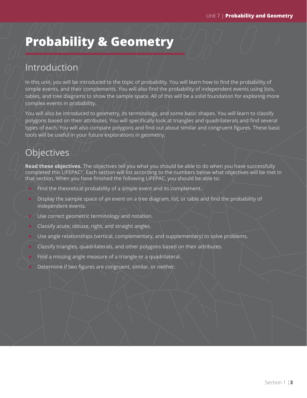# **Probability & Geometry**

### Introduction

In this unit, you will be introduced to the topic of probability. You will learn how to find the probability of simple events, and their complements. You will also find the probability of independent events using lists, tables, and tree diagrams to show the sample space. All of this will be a solid foundation for exploring more complex events in probability.

You will also be introduced to geometry, its terminology, and some basic shapes. You will learn to classify polygons based on their attributes. You will specifically look at triangles and quadrilaterals and find several types of each. You will also compare polygons and find out about similar and congruent figures. These basic tools will be useful in your future explorations in geometry.

# **Objectives**

**Read these objectives.** The objectives tell you what you should be able to do when you have successfully completed this LIFEPAC©. Each section will list according to the numbers below what objectives will be met in that section. When you have finished the following LIFEPAC, you should be able to:

- Find the theoretical probability of a simple event and its complement.
- Display the sample space of an event on a tree diagram, list, or table and find the probability of independent events.
- Use correct geometric terminology and notation.
- Classify acute, obtuse, right, and straight angles.
- $\bullet$  Use angle relationships (vertical, complementary, and supplementary) to solve problems.
- $\bullet$  Classify triangles, quadrilaterals, and other polygons based on their attributes.
- Find a missing angle measure of a triangle or a quadrilateral.
- Determine if two figures are congruent, similar, or neither.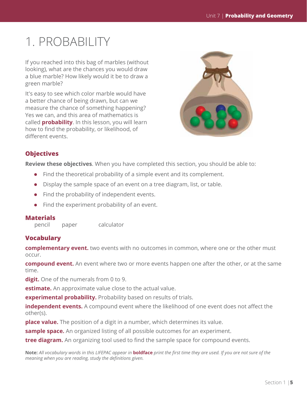# 1. PROBABILITY

If you reached into this bag of marbles (without looking), what are the chances you would draw a blue marble? How likely would it be to draw a green marble?

It's easy to see which color marble would have a better chance of being drawn, but can we measure the chance of something happening? Yes we can, and this area of mathematics is called **probability**. In this lesson, you will learn how to find the probability, or likelihood, of different events.



#### **Objectives**

**Review these objectives**. When you have completed this section, you should be able to:

- $\bullet$  Find the theoretical probability of a simple event and its complement.
- $\bullet$  Display the sample space of an event on a tree diagram, list, or table.
- $\bullet$  Find the probability of independent events.
- $\bullet$  Find the experiment probability of an event.

#### **Materials**

pencil paper calculator

#### **Vocabulary**

**complementary event.** two events with no outcomes in common, where one or the other must occur.

**compound event.** An event where two or more events happen one after the other, or at the same time.

**digit.** One of the numerals from 0 to 9.

**estimate.** An approximate value close to the actual value.

**experimental probability.** Probability based on results of trials.

**independent events.** A compound event where the likelihood of one event does not affect the other(s).

**place value.** The position of a digit in a number, which determines its value.

**sample space.** An organized listing of all possible outcomes for an experiment.

**tree diagram.** An organizing tool used to find the sample space for compound events.

**Note:** *All vocabulary words in this LIFEPAC appear in* **boldface** *print the first time they are used. If you are not sure of the meaning when you are reading, study the definitions given.*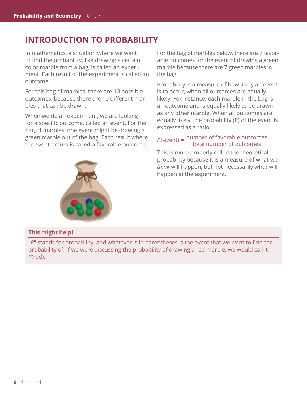### **INTRODUCTION TO PROBABILITY**

In mathematics, a situation where we want to find the probability, like drawing a certain color marble from a bag, is called an experiment. Each result of the experiment is called an outcome.

For this bag of marbles, there are 10 possible outcomes, because there are 10 different marbles that can be drawn.

When we do an experiment, we are looking for a specific outcome, called an event. For the bag of marbles, one event might be drawing a green marble out of the bag. Each result where the event occurs is called a favorable outcome.

For the bag of marbles below, there are 7 favorable outcomes for the event of drawing a green marble because there are 7 green marbles in the bag.

Probability is a measure of how likely an event is to occur, when all outcomes are equally likely. For instance, each marble in the bag is an outcome and is equally likely to be drawn as any other marble. When all outcomes are equally likely, the probability (P) of the event is expressed as a ratio:

# *P*(event) =  $\frac{\text{number of favorable outcomes}}{\text{total number of outcomes}}$

This is more properly called the theoretical probability because it is a measure of what we *think* will happen, but not necessarily what will happen in the experiment.



#### **This might help!**

"*P*" stands for probability, and whatever is in parentheses is the event that we want to find the probability of. If we were discussing the probability of drawing a red marble, we would call it *P*(red).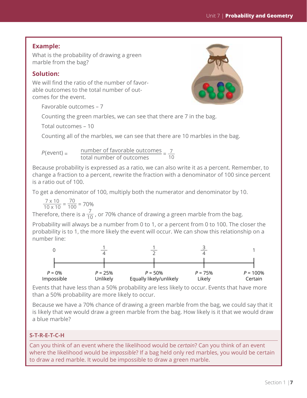#### **Example:**

What is the probability of drawing a green marble from the bag?

#### **Solution:**

We will find the ratio of the number of favorable outcomes to the total number of outcomes for the event.



Favorable outcomes – 7

Counting the green marbles, we can see that there are 7 in the bag.

Total outcomes – 10

Counting all of the marbles, we can see that there are 10 marbles in the bag.

 $P(\text{event}) = \frac{\text{number of favorable outcomes}}{\text{total number of outcomes}} = \frac{7}{10}$ 

Because probability is expressed as a ratio, we can also write it as a percent. Remember, to change a fraction to a percent, rewrite the fraction with a denominator of 100 since percent is a ratio out of 100.

To get a denominator of 100, multiply both the numerator and denominator by 10.

 $\frac{7 \times 10}{10 \times 10} = \frac{70}{100} = 70\%$ 

Therefore, there is a  $\frac{7}{10}$  , or 70% chance of drawing a green marble from the bag.

Probability will always be a number from 0 to 1, or a percent from 0 to 100. The closer the probability is to 1, the more likely the event will occur. We can show this relationship on a number line:



Events that have less than a 50% probability are less likely to occur. Events that have more than a 50% probability are more likely to occur.

Because we have a 70% chance of drawing a green marble from the bag, we could say that it is likely that we would draw a green marble from the bag. How likely is it that we would draw a blue marble?

#### **S-T-R-E-T-C-H**

Can you think of an event where the likelihood would be *certain*? Can you think of an event where the likelihood would be *impossible*? If a bag held only red marbles, you would be certain to draw a red marble. It would be impossible to draw a green marble.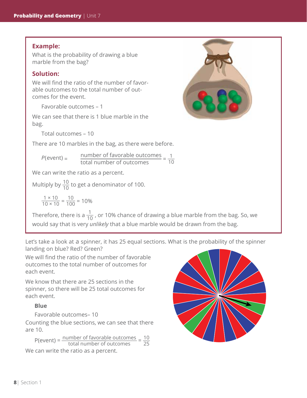#### **Example:**

What is the probability of drawing a blue marble from the bag?

#### **Solution:**

We will find the ratio of the number of favorable outcomes to the total number of outcomes for the event.

Favorable outcomes – 1

We can see that there is 1 blue marble in the bag.

Total outcomes – 10

There are 10 marbles in the bag, as there were before.

$$
P(\text{event}) = \frac{\text{number of favorable outcomes}}{\text{total number of outcomes}} = \frac{1}{10}
$$

We can write the ratio as a percent.

Multiply by  $\frac{10}{10}$  to get a denominator of 100.

 $\frac{1 \times 10}{10 \times 10} = \frac{10}{100} = 10\%$ 

Therefore, there is a  $\frac{1}{10}$  , or 10% chance of drawing a blue marble from the bag. So, we would say that is very *unlikely* that a blue marble would be drawn from the bag.

Let's take a look at a spinner, it has 25 equal sections. What is the probability of the spinner landing on blue? Red? Green?

We will find the ratio of the number of favorable outcomes to the total number of outcomes for each event.

We know that there are 25 sections in the spinner, so there will be 25 total outcomes for each event.

#### **Blue**

Favorable outcomes– 10

Counting the blue sections, we can see that there are 10.

 $P(\text{event}) = \frac{\text{number of favorable outcomes}}{\text{total number of outcomes}} = \frac{10}{25}$ We can write the ratio as a percent.



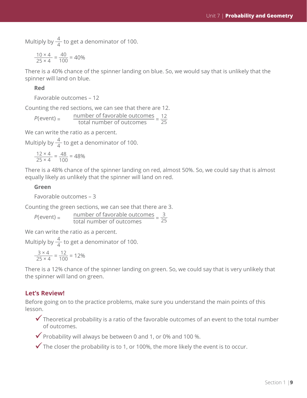Multiply by  $\frac{4}{4}$  to get a denominator of 100.

$$
\frac{10 \times 4}{25 \times 4} = \frac{40}{100} = 40\%
$$

There is a 40% chance of the spinner landing on blue. So, we would say that is unlikely that the spinner will land on blue.

#### **Red**

Favorable outcomes – 12

Counting the red sections, we can see that there are 12.

 $P(\text{event}) = \frac{\text{number of favorable outcomes}}{\text{total number of outcomes}} = \frac{12}{25}$ total number of outcomes 25

We can write the ratio as a percent.

Multiply by  $\frac{4}{4}$  to get a denominator of 100.

$$
\frac{12 \times 4}{25 \times 4} = \frac{48}{100} = 48\%
$$

There is a 48% chance of the spinner landing on red, almost 50%. So, we could say that is almost equally likely as unlikely that the spinner will land on red.

#### **Green**

Favorable outcomes – 3

Counting the green sections, we can see that there are 3.

 $P(\text{event}) = \frac{\text{number of favorable outcomes}}{\text{total numbers of outcomes}} = \frac{3}{25}$  $P(\text{event}) = \frac{\text{number of ravorable outcome}}{\text{total number of outcomes}}$ 

We can write the ratio as a percent.

Multiply by  $\frac{4}{4}$  to get a denominator of 100.

$$
\frac{3 \times 4}{25 \times 4} = \frac{12}{100} = 12\%
$$

There is a 12% chance of the spinner landing on green. So, we could say that is very unlikely that the spinner will land on green.

#### **Let's Review!**

Before going on to the practice problems, make sure you understand the main points of this lesson.

 $\checkmark$  Theoretical probability is a ratio of the favorable outcomes of an event to the total number of outcomes.

 $\checkmark$  Probability will always be between 0 and 1, or 0% and 100 %.

 $\checkmark$  The closer the probability is to 1, or 100%, the more likely the event is to occur.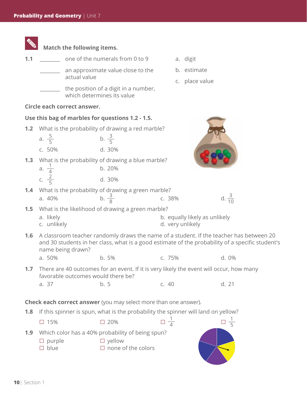|     | Match the following items.                                                                                                                                                                                       |                                                                                                   |                                                   |                               |  |  |
|-----|------------------------------------------------------------------------------------------------------------------------------------------------------------------------------------------------------------------|---------------------------------------------------------------------------------------------------|---------------------------------------------------|-------------------------------|--|--|
| 1.1 |                                                                                                                                                                                                                  | one of the numerals from 0 to 9                                                                   |                                                   | a. digit                      |  |  |
|     | actual value                                                                                                                                                                                                     | an approximate value close to the                                                                 |                                                   | b. estimate<br>c. place value |  |  |
|     |                                                                                                                                                                                                                  | the position of a digit in a number,<br>which determines its value                                |                                                   |                               |  |  |
|     | Circle each correct answer.                                                                                                                                                                                      |                                                                                                   |                                                   |                               |  |  |
|     |                                                                                                                                                                                                                  | Use this bag of marbles for questions 1.2 - 1.5.                                                  |                                                   |                               |  |  |
| 1.2 | What is the probability of drawing a red marble?<br>a. $\frac{5}{5}$<br>b. $\frac{3}{5}$                                                                                                                         |                                                                                                   |                                                   |                               |  |  |
|     | c. 50%                                                                                                                                                                                                           | d. 30%                                                                                            |                                                   |                               |  |  |
| 1.3 | a. $\frac{1}{4}$                                                                                                                                                                                                 | What is the probability of drawing a blue marble?<br>b. 20%                                       |                                                   |                               |  |  |
|     | c. $\frac{2}{5}$                                                                                                                                                                                                 | d. 30%                                                                                            |                                                   |                               |  |  |
| 1.4 | a. 40%                                                                                                                                                                                                           | What is the probability of drawing a green marble?<br>b. $\frac{3}{8}$                            | c. 38%                                            | d. $\frac{3}{10}$             |  |  |
| 1.5 | What is the likelihood of drawing a green marble?                                                                                                                                                                |                                                                                                   |                                                   |                               |  |  |
|     | a. likely<br>c. unlikely                                                                                                                                                                                         |                                                                                                   | b. equally likely as unlikely<br>d. very unlikely |                               |  |  |
| 1.6 | A classroom teacher randomly draws the name of a student. If the teacher has between 20<br>and 30 students in her class, what is a good estimate of the probability of a specific student's<br>name being drawn? |                                                                                                   |                                                   |                               |  |  |
|     | a. 50%                                                                                                                                                                                                           | b. 5%                                                                                             | c. 75%                                            | d. 0%                         |  |  |
| 1.7 | There are 40 outcomes for an event. If it is very likely the event will occur, how many<br>favorable outcomes would there be?                                                                                    |                                                                                                   |                                                   |                               |  |  |
|     | a. 37                                                                                                                                                                                                            | b.5                                                                                               | c.40                                              | d. 21                         |  |  |
|     |                                                                                                                                                                                                                  | <b>Check each correct answer</b> (you may select more than one answer).                           |                                                   |                               |  |  |
| 1.8 |                                                                                                                                                                                                                  | If this spinner is spun, what is the probability the spinner will land on yellow?                 |                                                   |                               |  |  |
|     | $\square$ 15%                                                                                                                                                                                                    | □ 20%                                                                                             | $\Box \frac{1}{4}$                                | $\Box \frac{1}{5}$            |  |  |
| 1.9 | purple<br>blue                                                                                                                                                                                                   | Which color has a 40% probability of being spun?<br>$\Box$ yellow<br>$\square$ none of the colors |                                                   |                               |  |  |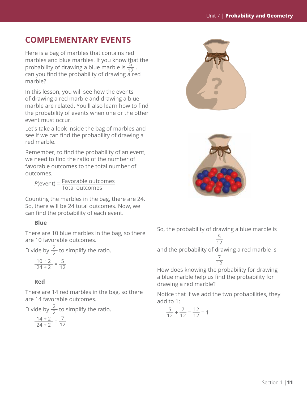### **COMPLEMENTARY EVENTS**

Here is a bag of marbles that contains red marbles and blue marbles. If you know that the probability of drawing a blue marble is  $\frac{5}{12}$ , can you find the probability of drawing  $\frac{1}{4}$  red marble?

In this lesson, you will see how the events of drawing a red marble and drawing a blue marble are related. You'll also learn how to find the probability of events when one or the other event must occur.

Let's take a look inside the bag of marbles and see if we can find the probability of drawing a red marble.

Remember, to find the probability of an event, we need to find the ratio of the number of favorable outcomes to the total number of outcomes.

*<sup>P</sup>*(event) = Favorable outcomes Total outcomes

Counting the marbles in the bag, there are 24. So, there will be 24 total outcomes. Now, we can find the probability of each event.

#### **Blue**

There are 10 blue marbles in the bag, so there are 10 favorable outcomes.

Divide by  $\frac{2}{2}$  to simplify the ratio.

$$
\frac{10 \div 2}{24 \div 2} = \frac{5}{12}
$$

#### **Red**

There are 14 red marbles in the bag, so there are 14 favorable outcomes.

Divide by  $\frac{2}{2}$  to simplify the ratio.  $\frac{14 \div 2}{24 \div 2} = \frac{7}{12}$ 





So, the probability of drawing a blue marble is  $\frac{5}{2}$ 

$$
\frac{1}{12}
$$

and the probability of drawing a red marble is  $\overline{7}$ 

How does knowing the probability for drawing a blue marble help us find the probability for drawing a red marble? 12

Notice that if we add the two probabilities, they add to 1:

$$
\frac{5}{12} + \frac{7}{12} = \frac{12}{12} = 1
$$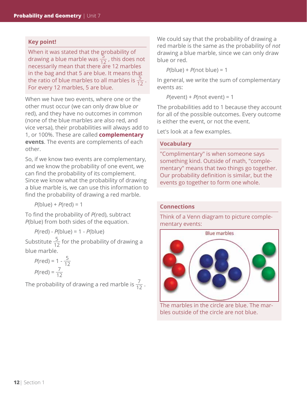#### **Key point!**

When it was stated that the probability of drawing a blue marble was  $\frac{5}{12}$ , this does not necessarily mean that there are 12 marbles in the bag and that 5 are blue. It means that the ratio of blue marbles to all marbles is  $\frac{5}{12}$ . For every 12 marbles, 5 are blue.

When we have two events, where one or the other must occur (we can only draw blue *or* red), and they have no outcomes in common (none of the blue marbles are also red, and vice versa), their probabilities will always add to 1, or 100%. These are called **complementary events**. The events are complements of each other.

So, if we know two events are complementary, and we know the probability of one event, we can find the probability of its complement. Since we know what the probability of drawing a blue marble is, we can use this information to find the probability of drawing a red marble.

*P*(blue) + *P*(red) = 1

To find the probability of *P*(red), subtract *P*(blue) from both sides of the equation.

*P*(red) - *P*(blue) = 1 - *P*(blue)

Substitute  $\frac{5}{12}$  for the probability of drawing a blue marble.

$$
P(\text{red}) = 1 - \frac{5}{12}
$$

$$
P(\text{red}) = \frac{7}{12}
$$

The probability of drawing a red marble is  $\frac{7}{12}$  .

We could say that the probability of drawing a red marble is the same as the probability of *not* drawing a blue marble, since we can only draw blue or red.

*P*(blue) + *P*(not blue) = 1

In general, we write the sum of complementary events as:

*P*(event) + *P*(not event) = 1

The probabilities add to 1 because they account for all of the possible outcomes. Every outcome is either the event, or not the event.

Let's look at a few examples.

#### **Vocabulary**

"Complimentary" is when someone says something kind. Outside of math, "complementary" means that two things go together. Our probability definition is similar, but the events go together to form one whole.

#### **Connections**

Think of a Venn diagram to picture complementary events:



The marbles in the circle are blue. The marbles outside of the circle are not blue.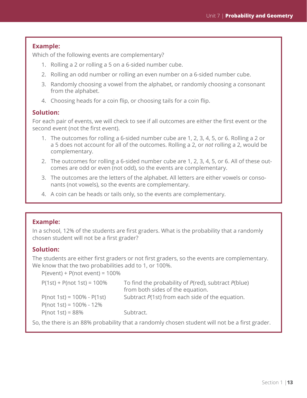#### **Example:**

Which of the following events are complementary?

- 1. Rolling a 2 or rolling a 5 on a 6-sided number cube.
- 2. Rolling an odd number or rolling an even number on a 6-sided number cube.
- 3. Randomly choosing a vowel from the alphabet, or randomly choosing a consonant from the alphabet.
- 4. Choosing heads for a coin flip, or choosing tails for a coin flip.

#### **Solution:**

For each pair of events, we will check to see if all outcomes are either the first event or the second event (not the first event).

- 1. The outcomes for rolling a 6-sided number cube are 1, 2, 3, 4, 5, or 6. Rolling a 2 or a 5 does not account for all of the outcomes. Rolling a 2, or *not* rolling a 2, would be complementary.
- 2. The outcomes for rolling a 6-sided number cube are 1, 2, 3, 4, 5, or 6. All of these outcomes are odd or even (not odd), so the events are complementary.
- 3. The outcomes are the letters of the alphabet. All letters are either vowels or consonants (not vowels), so the events are complementary.
- 4. A coin can be heads or tails only, so the events are complementary.

#### **Example:**

In a school, 12% of the students are first graders. What is the probability that a randomly chosen student will not be a first grader?

#### **Solution:**

The students are either first graders or not first graders, so the events are complementary. We know that the two probabilities add to 1, or 100%.

P(event) + P(not event) = 100%

| $P(1st) + P(not 1st) = 100\%$    | To find the probability of P(red), subtract P(blue)<br>from both sides of the equation. |
|----------------------------------|-----------------------------------------------------------------------------------------|
| $P($ not 1st) = 100% - $P(1$ st) | Subtract P(1st) from each side of the equation.                                         |
| $P($ not 1st) = 100% - 12%       |                                                                                         |
| $P($ not 1st $) = 88\%$          | Subtract.                                                                               |

So, the there is an 88% probability that a randomly chosen student will not be a first grader.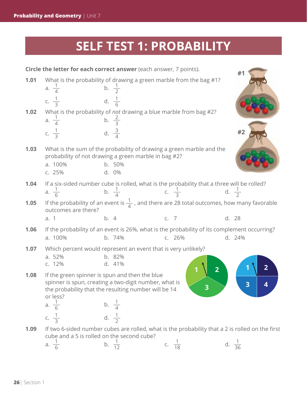# **SELF TEST 1: PROBABILITY**

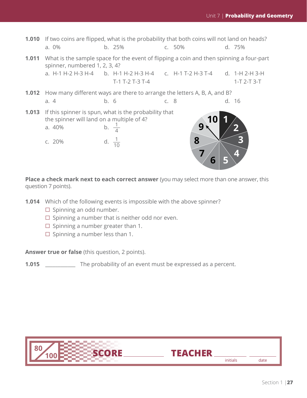

**Place a check mark next to each correct answer** (you may select more than one answer, this question 7 points).

**1.014** Which of the following events is impossible with the above spinner?

- $\square$  Spinning an odd number.
- $\square$  Spinning a number that is neither odd nor even.
- $\Box$  Spinning a number greater than 1.
- $\Box$  Spinning a number less than 1.

**Answer true or false** (this question, 2 points).

**1.015** \_\_\_\_\_\_\_\_\_\_\_\_\_ The probability of an event must be expressed as a percent.



initials date